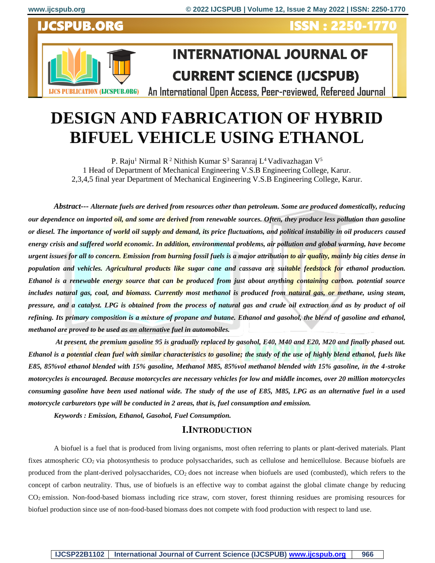

# **INTERNATIONAL JOURNAL OF CURRENT SCIENCE (IJCSPUB)**

An International Open Access, Peer-reviewed, Refereed Journal **LJCS PUBLICATION (LJCSPUB.ORG)** 

# **DESIGN AND FABRICATION OF HYBRID BIFUEL VEHICLE USING ETHANOL**

P. Raju<sup>1</sup> Nirmal R<sup>2</sup> Nithish Kumar S<sup>3</sup> Saranraj L<sup>4</sup> Vadivazhagan V<sup>5</sup> 1 Head of Department of Mechanical Engineering V.S.B Engineering College, Karur. 2,3,4,5 final year Department of Mechanical Engineering V.S.B Engineering College, Karur.

*Abstract--- Alternate fuels are derived from resources other than petroleum. Some are produced domestically, reducing our dependence on imported oil, and some are derived from renewable sources. Often, they produce less pollution than gasoline or diesel. The importance of world oil supply and demand, its price fluctuations, and political instability in oil producers caused energy crisis and suffered world economic. In addition, environmental problems, air pollution and global warming, have become urgent issues for all to concern. Emission from burning fossil fuels is a major attribution to air quality, mainly big cities dense in population and vehicles. Agricultural products like sugar cane and cassava are suitable feedstock for ethanol production. Ethanol is a renewable energy source that can be produced from just about anything containing carbon. potential source includes natural gas, coal, and biomass. Currently most methanol is produced from natural gas, or methane, using steam, pressure, and a catalyst. LPG is obtained from the process of natural gas and crude oil extraction and as by product of oil refining. Its primary composition is a mixture of propane and butane. Ethanol and gasohol, the blend of gasoline and ethanol, methanol are proved to be used as an alternative fuel in automobiles.*

*At present, the premium gasoline 95 is gradually replaced by gasohol, E40, M40 and E20, M20 and finally phased out. Ethanol is a potential clean fuel with similar characteristics to gasoline; the study of the use of highly blend ethanol, fuels like E85, 85%vol ethanol blended with 15% gasoline, Methanol M85, 85%vol methanol blended with 15% gasoline, in the 4-stroke motorcycles is encouraged. Because motorcycles are necessary vehicles for low and middle incomes, over 20 million motorcycles consuming gasoline have been used national wide. The study of the use of E85, M85, LPG as an alternative fuel in a used motorcycle carburetors type will be conducted in 2 areas, that is, fuel consumption and emission.*

*Keywords : Emission, Ethanol, Gasohol, Fuel Consumption.*

# **I.INTRODUCTION**

A biofuel is a fuel that is produced from living organisms, most often referring to plants or plant-derived materials. Plant fixes atmospheric CO<sup>2</sup> via photosynthesis to produce polysaccharides, such as cellulose and hemicellulose. Because biofuels are produced from the plant-derived polysaccharides,  $CO<sub>2</sub>$  does not increase when biofuels are used (combusted), which refers to the concept of carbon neutrality. Thus, use of biofuels is an effective way to combat against the global climate change by reducing CO<sup>2</sup> emission. Non-food-based biomass including rice straw, corn stover, forest thinning residues are promising resources for biofuel production since use of non-food-based biomass does not compete with food production with respect to land use.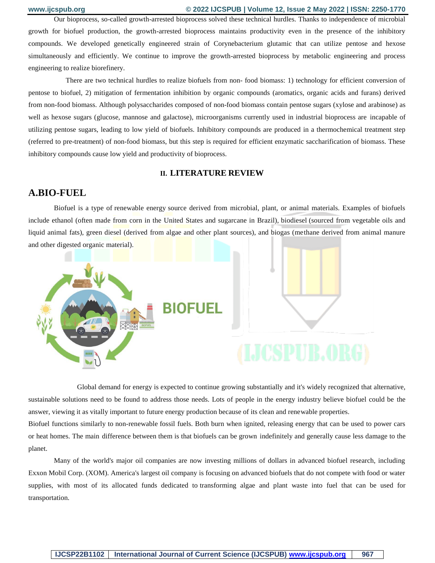### **www.ijcspub.org © 2022 IJCSPUB | Volume 12, Issue 2 May 2022 | ISSN: 2250-1770**

Our bioprocess, so-called growth-arrested bioprocess solved these technical hurdles. Thanks to independence of microbial growth for biofuel production, the growth-arrested bioprocess maintains productivity even in the presence of the inhibitory compounds. We developed genetically engineered strain of Corynebacterium glutamic that can utilize pentose and hexose simultaneously and efficiently. We continue to improve the growth-arrested bioprocess by metabolic engineering and process engineering to realize biorefinery.

 There are two technical hurdles to realize biofuels from non- food biomass: 1) technology for efficient conversion of pentose to biofuel, 2) mitigation of fermentation inhibition by organic compounds (aromatics, organic acids and furans) derived from non-food biomass. Although polysaccharides composed of non-food biomass contain pentose sugars (xylose and arabinose) as well as hexose sugars (glucose, mannose and galactose), microorganisms currently used in industrial bioprocess are incapable of utilizing pentose sugars, leading to low yield of biofuels. Inhibitory compounds are produced in a thermochemical treatment step (referred to pre-treatment) of non-food biomass, but this step is required for efficient enzymatic saccharification of biomass. These inhibitory compounds cause low yield and productivity of bioprocess.

### **II. LITERATURE REVIEW**

# **A.BIO-FUEL**

Biofuel is a type of [renewable energy](https://www.investopedia.com/terms/r/renewable_resource.asp) source derived from microbial, plant, or animal materials. Examples of biofuels include ethanol (often made from corn in the United States and sugarcane in Brazil), [biodiesel](https://www.investopedia.com/terms/b/biodiesel.asp) (sourced from vegetable oils and liquid animal fats), green diesel (derived from algae and other plant sources), and biogas (methane derived from animal manure and other digested organic material).



 Global demand for [energy](https://www.investopedia.com/terms/e/energy_sector.asp) is expected to continue growing substantially and it's widely recognized that alternative, sustainable solutions need to be found to address those needs. Lots of people in the energy industry believe biofuel could be the answer, viewing it as vitally important to future energy production because of its clean and renewable properties. Biofuel functions similarly to [non-renewable](https://www.investopedia.com/terms/n/nonrenewableresource.asp) fossil fuels. Both burn when ignited, releasing energy that can be used to power cars or heat homes. The main difference between them is that biofuels can be grown indefinitely and generally cause less damage to the planet.

Many of the world's major oil companies are now investing millions of dollars in advanced biofuel research, including Exxon Mobil Corp. [\(XOM\)](https://www.investopedia.com/markets/quote?tvwidgetsymbol=xom). America's largest oil company is focusing on advanced biofuels that do not compete with food or water supplies, with most of its allocated funds dedicated to transforming algae and plant waste into fuel that can be used for transportation.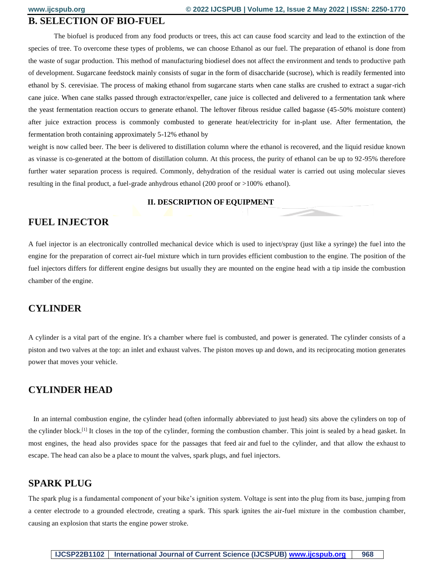### **B. SELECTION OF BIO-FUEL**

The biofuel is produced from any food products or trees, this act can cause food scarcity and lead to the extinction of the species of tree. To overcome these types of problems, we can choose Ethanol as our fuel. The preparation of ethanol is done from the waste of sugar production. This method of manufacturing biodiesel does not affect the environment and tends to productive path of development. Sugarcane feedstock mainly consists of sugar in the form of disaccharide (sucrose), which is readily fermented into ethanol by S. cerevisiae. The process of making ethanol from sugarcane starts when cane stalks are crushed to extract a sugar-rich cane juice. When cane stalks passed through extractor/expeller, cane juice is collected and delivered to a fermentation tank where the yeast fermentation reaction occurs to generate ethanol. The leftover fibrous residue called bagasse (45-50% moisture content) after juice extraction process is commonly combusted to generate heat/electricity for in-plant use. After fermentation, the fermentation broth containing approximately 5-12% ethanol by

weight is now called beer. The beer is delivered to distillation column where the ethanol is recovered, and the liquid residue known as vinasse is co-generated at the bottom of distillation column. At this process, the purity of ethanol can be up to 92-95% therefore further water separation process is required. Commonly, dehydration of the residual water is carried out using molecular sieves resulting in the final product, a fuel-grade anhydrous ethanol (200 proof or >100% ethanol).

### **II. DESCRIPTION OFEQUIPMENT**

## **FUEL INJECTOR**

A fuel injector is an electronically controlled mechanical device which is used to inject/spray (just like a syringe) the fuel into the engine for the preparation of correct air-fuel mixture which in turn provides efficient combustion to the engine. The position of the fuel injectors differs for different engine designs but usually they are mounted on the engine head with a tip inside the combustion chamber of the engine.

### **CYLINDER**

A cylinder is a vital part of the engine. It's a chamber where fuel is combusted, and power is generated. The cylinder consists of a piston and two valves at the top: an inlet and exhaust valves. The piston moves up and down, and its reciprocating motion generates power that moves your vehicle.

### **CYLINDER HEAD**

In an [internal combustion engine,](https://en.wikipedia.org/wiki/Internal_combustion_engine) the cylinder head (often informally abbreviated to just head) sits above the [cylinders](https://en.wikipedia.org/wiki/Cylinder_(engine)) on top of the [cylinder block.](https://en.wikipedia.org/wiki/Cylinder_block)<sup>[\[1\]](https://en.wikipedia.org/wiki/Cylinder_head#cite_note-Wright_2015_p._310-1)</sup> It closes in the top of the cylinder, forming the [combustion chamber.](https://en.wikipedia.org/wiki/Combustion_chamber) This joint is sealed by a [head gasket.](https://en.wikipedia.org/wiki/Head_gasket) In most engines, the head also provides space for the passages that feed [air](https://en.wikipedia.org/wiki/Atmosphere_of_Earth) and [fuel](https://en.wikipedia.org/wiki/Fuel) to the cylinder, and that allow the [exhaust](https://en.wikipedia.org/wiki/Exhaust_gas) to escape. The head can also be a place to mount the [valves,](https://en.wikipedia.org/wiki/Poppet_valve) [spark plugs,](https://en.wikipedia.org/wiki/Spark_plug) and [fuel injectors.](https://en.wikipedia.org/wiki/Fuel_injection)

# **SPARK PLUG**

The spark plug is a fundamental component of your bike's ignition system. Voltage is sent into the plug from its base, jumping from a center electrode to a grounded electrode, creating a spark. This spark ignites the air-fuel mixture in the combustion chamber, causing an explosion that starts the engine power stroke.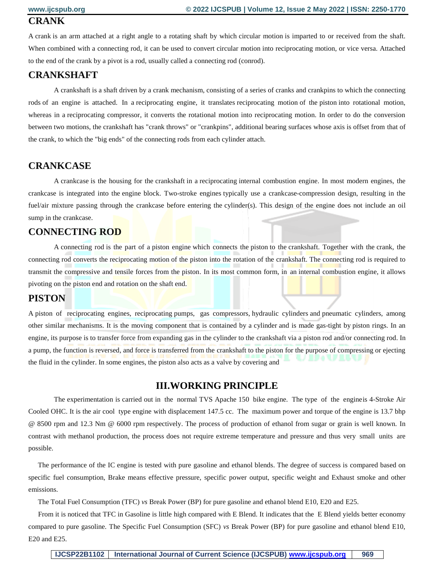# **CRANK**

A crank is an arm attached at a right angle to a rotating shaft by which [circular motion](https://en.wikipedia.org/wiki/Circular_motion) is imparted to or received from the shaft. When combined with a connecting rod, it can be used to convert [circular motion](https://en.wikipedia.org/wiki/Circular_motion) into reciprocating motion, or vice versa. Attached to the end of the crank by a pivot is a rod, usually called a [connecting rod](https://en.wikipedia.org/wiki/Connecting_rod) (conrod).

# **CRANKSHAFT**

A crankshaft is a [shaft](https://en.wikipedia.org/wiki/Shaft_(mechanical_engineering)) driven by a [crank](https://en.wikipedia.org/wiki/Crank_(mechanism)) mechanism, consisting of a series of cranks and [crankpins](https://en.wikipedia.org/wiki/Crankpin) to which the [connecting](https://en.wikipedia.org/wiki/Connecting_rod)  [rods](https://en.wikipedia.org/wiki/Connecting_rod) of an engine is attached. In a [reciprocating engine,](https://en.wikipedia.org/wiki/Reciprocating_engine) it translates [reciprocating motion](https://en.wikipedia.org/wiki/Reciprocating_motion) of the [piston](https://en.wikipedia.org/wiki/Piston) into rotational motion, whereas in a [reciprocating compressor,](https://en.wikipedia.org/wiki/Reciprocating_compressor) it converts the rotational motion into reciprocating motion. In order to do the conversion between two motions, the crankshaft has "crank throws" or "crankpins", additional bearing surfaces whose axis is offset from that of the crank, to which the "big ends" of the [connecting rods](https://en.wikipedia.org/wiki/Connecting_rod) from each cylinder attach.

## **CRANKCASE**

A crankcase is the housing for the [crankshaft](https://en.wikipedia.org/wiki/Crankshaft) in a [reciprocating](https://en.wikipedia.org/wiki/Reciprocating_engine) [internal combustion engine.](https://en.wikipedia.org/wiki/Internal_combustion_engine) In most modern engines, the crankcase is integrated into the [engine block.](https://en.wikipedia.org/wiki/Engine_block) [Two-stroke engines](https://en.wikipedia.org/wiki/Two-stroke_engine) typically use a crankcase-compression design, resulting in the fuel/air mixture passing through the crankcase before entering the [cylinder\(](https://en.wikipedia.org/wiki/Cylinder_(engine))s). This design of the engine does not include an oil sump in the crankcase.

# **CONNECTING ROD**

A connecting rod is the part of a [piston engine](https://en.wikipedia.org/wiki/Reciprocating_engine) which connects the [piston](https://en.wikipedia.org/wiki/Piston) to the [crankshaft.](https://en.wikipedia.org/wiki/Crankshaft) Together with the [crank,](https://en.wikipedia.org/wiki/Crank_(mechanism)) the connecting rod converts the [reciprocating motion](https://en.wikipedia.org/wiki/Reciprocating_motion) of the piston into the rotation of the crankshaft. The connecting rod is required to transmit the compressive and tensile forces from the piston. In its most common form, in an [internal combustion engine,](https://en.wikipedia.org/wiki/Internal_combustion_engine) it allows pivoting on the piston end and rotation on the shaft end.

### **PISTON**

A piston of [reciprocating engines,](https://en.wikipedia.org/wiki/Reciprocating_engine) reciprocating [pumps,](https://en.wikipedia.org/wiki/Pump) [gas compressors,](https://en.wikipedia.org/wiki/Gas_compressor) [hydraulic cylinders](https://en.wikipedia.org/wiki/Hydraulic_cylinder) and [pneumatic cylinders,](https://en.wikipedia.org/wiki/Pneumatic_cylinder) among other similar mechanisms. It is the moving component that is contained by a [cylinder](https://en.wikipedia.org/wiki/Cylinder_(engine)) and is made gas-tight by [piston rings.](https://en.wikipedia.org/wiki/Piston_ring) In an engine, its purpose is to transfer force from expanding gas in the cylinder to the [crankshaft](https://en.wikipedia.org/wiki/Crankshaft) via a [piston rod](https://en.wikipedia.org/wiki/Piston_rod) and/or [connecting rod.](https://en.wikipedia.org/wiki/Connecting_rod) In a pump, the function is reversed, and force is transferred from the crankshaft to the piston for the purpose of compressing or ejecting the [fluid](https://en.wikipedia.org/wiki/Fluid) in the cylinder. In some engines, the piston also acts as a [valve](https://en.wikipedia.org/wiki/Valve) by covering and

### **III.WORKING PRINCIPLE**

The experimentation is carried out in the normal TVS Apache 150 bike engine. The type of the engineis 4-Stroke Air Cooled OHC. It is the air cool type engine with displacement 147.5 cc. The maximum power and torque of the engine is 13.7 bhp @ 8500 rpm and 12.3 Nm @ 6000 rpm respectively. The process of production of ethanol from sugar or grain is well known. In contrast with methanol production, the process does not require extreme temperature and pressure and thus very small units are possible.

The performance of the IC engine is tested with pure gasoline and ethanol blends. The degree of success is compared based on specific fuel consumption, Brake means effective pressure, specific power output, specific weight and Exhaust smoke and other emissions.

The Total Fuel Consumption (TFC) *vs* Break Power (BP) for pure gasoline and ethanol blend E10, E20 and E25.

From it is noticed that TFC in Gasoline is little high compared with E Blend. It indicates that the E Blend yields better economy compared to pure gasoline. The Specific Fuel Consumption (SFC) *vs* Break Power (BP) for pure gasoline and ethanol blend E10, E20 and E25.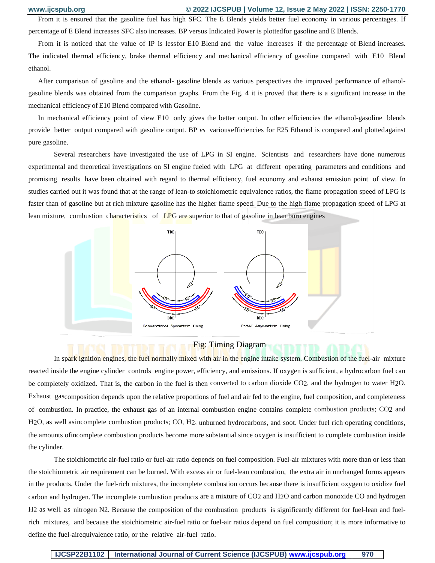### **www.ijcspub.org © 2022 IJCSPUB | Volume 12, Issue 2 May 2022 | ISSN: 2250-1770**

From it is ensured that the gasoline fuel has high SFC. The E Blends yields better fuel economy in various percentages. If percentage of E Blend increases SFC also increases. BP versus Indicated Power is plottedfor gasoline and E Blends.

From it is noticed that the value of IP is lessfor E10 Blend and the value increases if the percentage of Blend increases. The indicated thermal efficiency, brake thermal efficiency and mechanical efficiency of gasoline compared with E10 Blend ethanol.

After comparison of gasoline and the ethanol- gasoline blends as various perspectives the improved performance of ethanolgasoline blends was obtained from the comparison graphs. From the Fig. 4 it is proved that there is a significant increase in the mechanical efficiency of E10 Blend compared with Gasoline.

In mechanical efficiency point of view E10 only gives the better output. In other efficiencies the ethanol-gasoline blends provide better output compared with gasoline output. BP *vs* variousefficiencies for E25 Ethanol is compared and plottedagainst pure gasoline.

Several researchers have investigated the use of LPG in SI engine. Scientists and researchers have done numerous experimental and theoretical investigations on SI engine fueled with LPG at different operating parameters and conditions and promising results have been obtained with regard to thermal efficiency, fuel economy and exhaust emission point of view. In studies carried out it was found that at the range of lean-to stoichiometric equivalence ratios, the flame propagation speed of LPG is faster than of gasoline but at rich mixture gasoline has the higher flame speed. Due to the high flame propagation speed of LPG at lean mixture, combustion characteristics of LPG are superior to that of gasoline in lean burn engines



### Fig: Timing Diagram

In spark ignition engines, the fuel normally mixed with air in the engine intake system. Combustion of the fuel-air mixture reacted inside the engine cylinder controls engine power, efficiency, and emissions. If oxygen is sufficient, a hydrocarbon fuel can be completely oxidized. That is, the carbon in the fuel is then converted to carbon dioxide CO2, and the hydrogen to water H2O. Exhaust gascomposition depends upon the relative proportions of fuel and air fed to the engine, fuel composition, and completeness of combustion. In practice, the exhaust gas of an internal combustion engine contains complete combustion products; CO2 and H2O, as well asincomplete combustion products; CO, H2, unburned hydrocarbons, and soot. Under fuel rich operating conditions, the amounts ofincomplete combustion products become more substantial since oxygen is insufficient to complete combustion inside the cylinder.

The stoichiometric air-fuel ratio or fuel-air ratio depends on fuel composition. Fuel-air mixtures with more than or less than the stoichiometric air requirement can be burned. With excess air or fuel-lean combustion, the extra air in unchanged forms appears in the products. Under the fuel-rich mixtures, the incomplete combustion occurs because there is insufficient oxygen to oxidize fuel carbon and hydrogen. The incomplete combustion products are a mixture of CO2 and H2O and carbon monoxide CO and hydrogen H2 as well as nitrogen N2. Because the composition of the combustion products is significantly different for fuel-lean and fuelrich mixtures, and because the stoichiometric air-fuel ratio or fuel-air ratios depend on fuel composition; it is more informative to define the fuel-airequivalence ratio, or the relative air-fuel ratio.